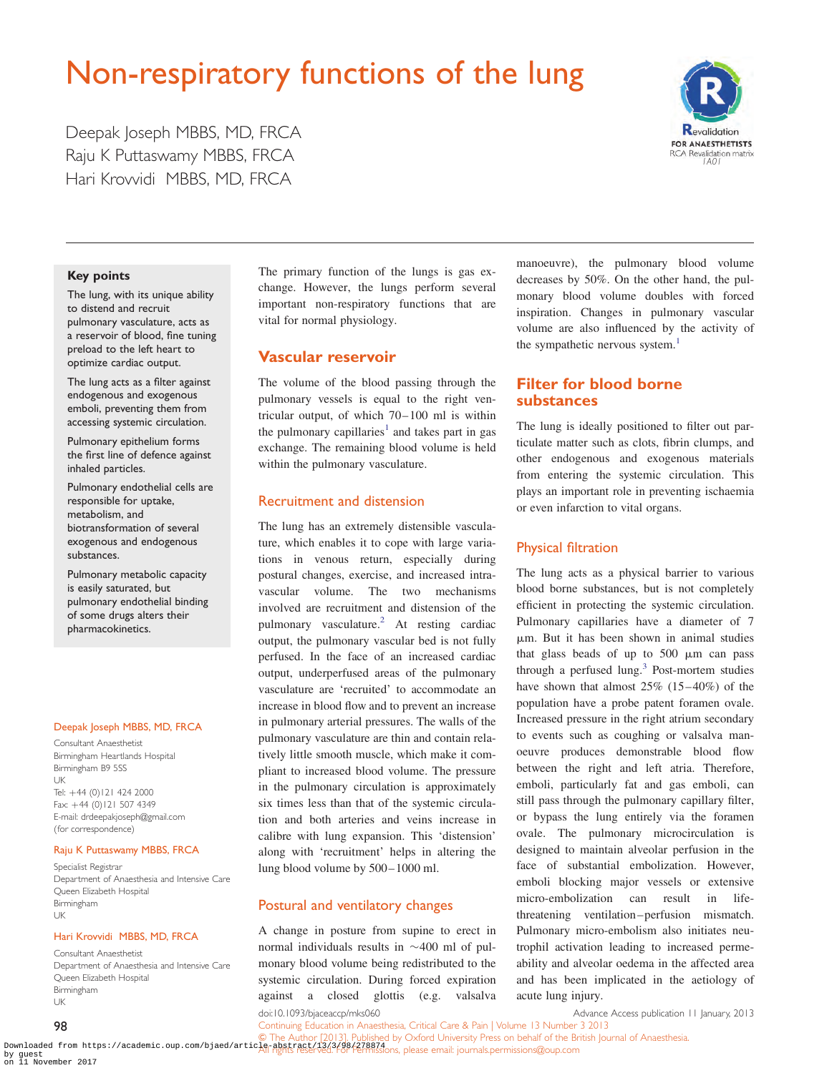# Non-respiratory functions of the lung

Deepak Joseph MBBS, MD, FRCA Raju K Puttaswamy MBBS, FRCA Hari Krovvidi MBBS, MD, FRCA



# Key points

The lung, with its unique ability to distend and recruit pulmonary vasculature, acts as a reservoir of blood, fine tuning preload to the left heart to optimize cardiac output.

The lung acts as a filter against endogenous and exogenous emboli, preventing them from accessing systemic circulation.

Pulmonary epithelium forms the first line of defence against inhaled particles.

Pulmonary endothelial cells are responsible for uptake, metabolism, and biotransformation of several exogenous and endogenous substances.

Pulmonary metabolic capacity is easily saturated, but pulmonary endothelial binding of some drugs alters their pharmacokinetics.

## Deepak Joseph MBBS, MD, FRCA

Consultant Anaesthetist Birmingham Heartlands Hospital Birmingham B9 5SS UK Tel: +44 (0)121 424 2000 Fax:  $+44 (0)121 507 4349$ E-mail: drdeepakjoseph@gmail.com (for correspondence)

#### Raju K Puttaswamy MBBS, FRCA

Specialist Registrar Department of Anaesthesia and Intensive Care Queen Elizabeth Hospital Birmingham UK

#### Hari Krovvidi MBBS, MD, FRCA

Consultant Anaesthetist Department of Anaesthesia and Intensive Care Queen Elizabeth Hospital Birmingham UK

The primary function of the lungs is gas exchange. However, the lungs perform several important non-respiratory functions that are vital for normal physiology.

## Vascular reservoir

The volume of the blood passing through the pulmonary vessels is equal to the right ventricular output, of which 70–100 ml is within the pulmonary capillaries<sup>[1](#page-4-0)</sup> and takes part in gas exchange. The remaining blood volume is held within the pulmonary vasculature.

## Recruitment and distension

The lung has an extremely distensible vasculature, which enables it to cope with large variations in venous return, especially during postural changes, exercise, and increased intravascular volume. The two mechanisms involved are recruitment and distension of the pulmonary vasculature.<sup>[2](#page-4-0)</sup> At resting cardiac output, the pulmonary vascular bed is not fully perfused. In the face of an increased cardiac output, underperfused areas of the pulmonary vasculature are 'recruited' to accommodate an increase in blood flow and to prevent an increase in pulmonary arterial pressures. The walls of the pulmonary vasculature are thin and contain relatively little smooth muscle, which make it compliant to increased blood volume. The pressure in the pulmonary circulation is approximately six times less than that of the systemic circulation and both arteries and veins increase in calibre with lung expansion. This 'distension' along with 'recruitment' helps in altering the lung blood volume by 500–1000 ml.

## Postural and ventilatory changes

A change in posture from supine to erect in normal individuals results in  $\sim$ 400 ml of pulmonary blood volume being redistributed to the systemic circulation. During forced expiration against a closed glottis (e.g. valsalva

manoeuvre), the pulmonary blood volume decreases by 50%. On the other hand, the pulmonary blood volume doubles with forced inspiration. Changes in pulmonary vascular volume are also influenced by the activity of the sympathetic nervous system.<sup>[1](#page-4-0)</sup>

# Filter for blood borne substances

The lung is ideally positioned to filter out particulate matter such as clots, fibrin clumps, and other endogenous and exogenous materials from entering the systemic circulation. This plays an important role in preventing ischaemia or even infarction to vital organs.

## Physical filtration

The lung acts as a physical barrier to various blood borne substances, but is not completely efficient in protecting the systemic circulation. Pulmonary capillaries have a diameter of 7 mm. But it has been shown in animal studies that glass beads of up to  $500 \mu m$  can pass through a perfused  $\text{lung.}^3$  Post-mortem studies have shown that almost  $25\%$  (15–40%) of the population have a probe patent foramen ovale. Increased pressure in the right atrium secondary to events such as coughing or valsalva manoeuvre produces demonstrable blood flow between the right and left atria. Therefore, emboli, particularly fat and gas emboli, can still pass through the pulmonary capillary filter, or bypass the lung entirely via the foramen ovale. The pulmonary microcirculation is designed to maintain alveolar perfusion in the face of substantial embolization. However, emboli blocking major vessels or extensive micro-embolization can result in lifethreatening ventilation–perfusion mismatch. Pulmonary micro-embolism also initiates neutrophil activation leading to increased permeability and alveolar oedema in the affected area and has been implicated in the aetiology of acute lung injury.

98

doi:10.1093/bjaceaccp/mks060 Advance Access publication 11 January, 2013

Continuing Education in Anaesthesia, Critical Care & Pain | Volume 13 Number 3 2013

 $\circ$  The Author [2013]. Published by Oxford University Press on behalf of the British Journal of Anaesthesia.

Downloaded from https://academic.oup.com/bjaed/artic<u>)</u>q<sub>r</sub>abatrase/1343/38/27881.<br>by quest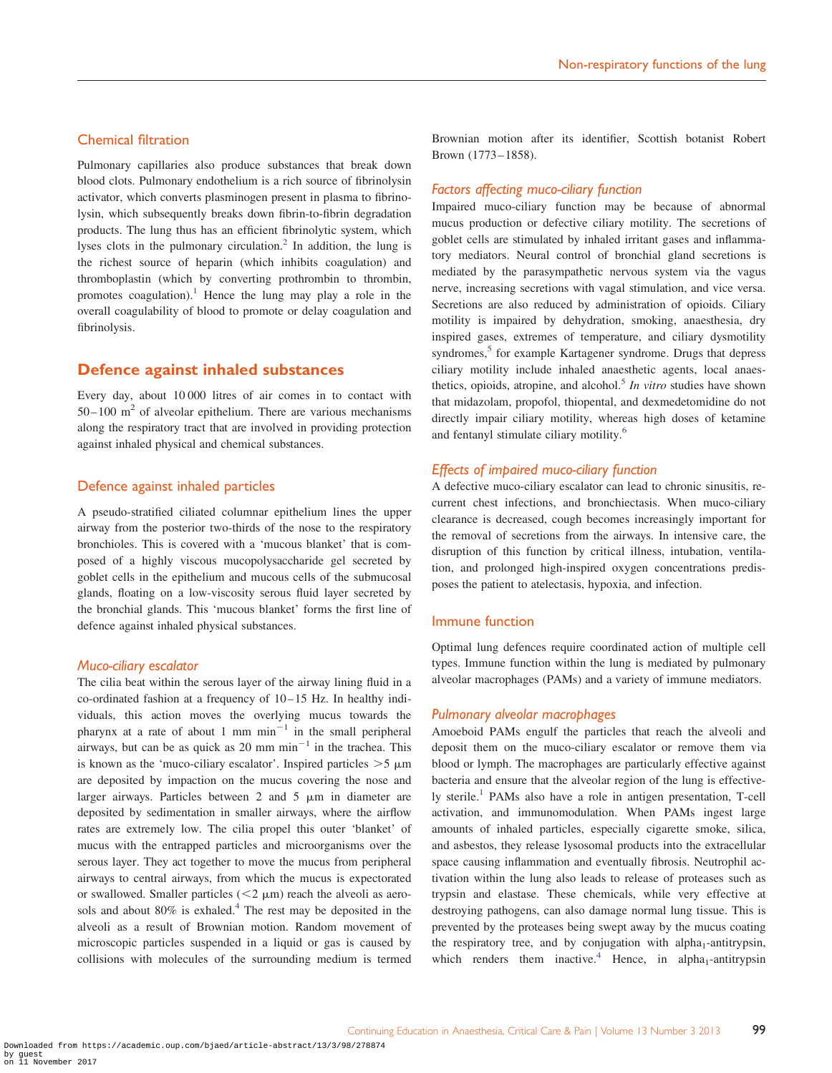## Chemical filtration

Pulmonary capillaries also produce substances that break down blood clots. Pulmonary endothelium is a rich source of fibrinolysin activator, which converts plasminogen present in plasma to fibrinolysin, which subsequently breaks down fibrin-to-fibrin degradation products. The lung thus has an efficient fibrinolytic system, which lyses clots in the pulmonary circulation.<sup>2</sup> In addition, the lung is the richest source of heparin (which inhibits coagulation) and thromboplastin (which by converting prothrombin to thrombin, promotes coagulation).<sup>1</sup> Hence the lung may play a role in the overall coagulability of blood to promote or delay coagulation and fibrinolysis.

## Defence against inhaled substances

Every day, about 10 000 litres of air comes in to contact with  $50-100$  m<sup>2</sup> of alveolar epithelium. There are various mechanisms along the respiratory tract that are involved in providing protection against inhaled physical and chemical substances.

## Defence against inhaled particles

A pseudo-stratified ciliated columnar epithelium lines the upper airway from the posterior two-thirds of the nose to the respiratory bronchioles. This is covered with a 'mucous blanket' that is composed of a highly viscous mucopolysaccharide gel secreted by goblet cells in the epithelium and mucous cells of the submucosal glands, floating on a low-viscosity serous fluid layer secreted by the bronchial glands. This 'mucous blanket' forms the first line of defence against inhaled physical substances.

#### Muco-ciliary escalator

The cilia beat within the serous layer of the airway lining fluid in a co-ordinated fashion at a frequency of 10–15 Hz. In healthy individuals, this action moves the overlying mucus towards the pharynx at a rate of about 1 mm  $\min^{-1}$  in the small peripheral airways, but can be as quick as 20 mm  $min^{-1}$  in the trachea. This is known as the 'muco-ciliary escalator'. Inspired particles  $>5 \mu m$ are deposited by impaction on the mucus covering the nose and larger airways. Particles between 2 and 5  $\mu$ m in diameter are deposited by sedimentation in smaller airways, where the airflow rates are extremely low. The cilia propel this outer 'blanket' of mucus with the entrapped particles and microorganisms over the serous layer. They act together to move the mucus from peripheral airways to central airways, from which the mucus is expectorated or swallowed. Smaller particles  $(< 2 \mu m)$  reach the alveoli as aerosols and about  $80\%$  is exhaled.<sup>4</sup> The rest may be deposited in the alveoli as a result of Brownian motion. Random movement of microscopic particles suspended in a liquid or gas is caused by collisions with molecules of the surrounding medium is termed Brownian motion after its identifier, Scottish botanist Robert Brown (1773–1858).

#### Factors affecting muco-ciliary function

Impaired muco-ciliary function may be because of abnormal mucus production or defective ciliary motility. The secretions of goblet cells are stimulated by inhaled irritant gases and inflammatory mediators. Neural control of bronchial gland secretions is mediated by the parasympathetic nervous system via the vagus nerve, increasing secretions with vagal stimulation, and vice versa. Secretions are also reduced by administration of opioids. Ciliary motility is impaired by dehydration, smoking, anaesthesia, dry inspired gases, extremes of temperature, and ciliary dysmotility syndromes,<sup>[5](#page-4-0)</sup> for example Kartagener syndrome. Drugs that depress ciliary motility include inhaled anaesthetic agents, local anaes-thetics, opioids, atropine, and alcohol.<sup>[5](#page-4-0)</sup> In vitro studies have shown that midazolam, propofol, thiopental, and dexmedetomidine do not directly impair ciliary motility, whereas high doses of ketamine and fentanyl stimulate ciliary motility.[6](#page-4-0)

#### Effects of impaired muco-ciliary function

A defective muco-ciliary escalator can lead to chronic sinusitis, recurrent chest infections, and bronchiectasis. When muco-ciliary clearance is decreased, cough becomes increasingly important for the removal of secretions from the airways. In intensive care, the disruption of this function by critical illness, intubation, ventilation, and prolonged high-inspired oxygen concentrations predisposes the patient to atelectasis, hypoxia, and infection.

### Immune function

Optimal lung defences require coordinated action of multiple cell types. Immune function within the lung is mediated by pulmonary alveolar macrophages (PAMs) and a variety of immune mediators.

#### Pulmonary alveolar macrophages

Amoeboid PAMs engulf the particles that reach the alveoli and deposit them on the muco-ciliary escalator or remove them via blood or lymph. The macrophages are particularly effective against bacteria and ensure that the alveolar region of the lung is effective-ly sterile.<sup>[1](#page-4-0)</sup> PAMs also have a role in antigen presentation, T-cell activation, and immunomodulation. When PAMs ingest large amounts of inhaled particles, especially cigarette smoke, silica, and asbestos, they release lysosomal products into the extracellular space causing inflammation and eventually fibrosis. Neutrophil activation within the lung also leads to release of proteases such as trypsin and elastase. These chemicals, while very effective at destroying pathogens, can also damage normal lung tissue. This is prevented by the proteases being swept away by the mucus coating the respiratory tree, and by conjugation with alpha<sub>1</sub>-antitrypsin, which renders them inactive.<sup>[4](#page-4-0)</sup> Hence, in alpha<sub>1</sub>-antitrypsin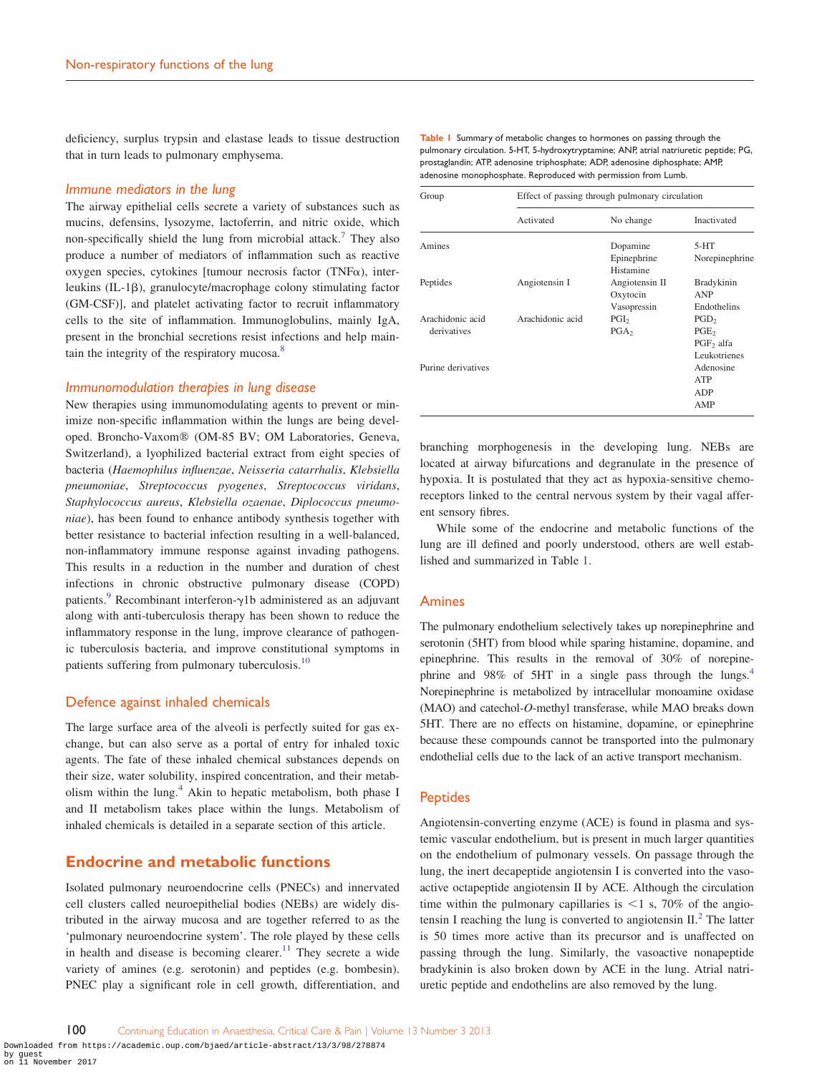deficiency, surplus trypsin and elastase leads to tissue destruction that in turn leads to pulmonary emphysema.

## Immune mediators in the lung

The airway epithelial cells secrete a variety of substances such as mucins, defensins, lysozyme, lactoferrin, and nitric oxide, which non-specifically shield the lung from microbial attack.<sup>7</sup> They also produce a number of mediators of inflammation such as reactive oxygen species, cytokines [tumour necrosis factor  $(TNF\alpha)$ , interleukins (IL-1b), granulocyte/macrophage colony stimulating factor (GM-CSF)], and platelet activating factor to recruit inflammatory cells to the site of inflammation. Immunoglobulins, mainly IgA, present in the bronchial secretions resist infections and help maintain the integrity of the respiratory mucosa.<sup>8</sup>

#### Immunomodulation therapies in lung disease

New therapies using immunomodulating agents to prevent or minimize non-specific inflammation within the lungs are being developed. Broncho-Vaxom® (OM-85 BV; OM Laboratories, Geneva, Switzerland), a lyophilized bacterial extract from eight species of bacteria (Haemophilus influenzae, Neisseria catarrhalis, Klebsiella pneumoniae, Streptococcus pyogenes, Streptococcus viridans, Staphylococcus aureus, Klebsiella ozaenae, Diplococcus pneumoniae), has been found to enhance antibody synthesis together with better resistance to bacterial infection resulting in a well-balanced, non-inflammatory immune response against invading pathogens. This results in a reduction in the number and duration of chest infections in chronic obstructive pulmonary disease (COPD) patients.<sup>[9](#page-4-0)</sup> Recombinant interferon- $\gamma$ 1b administered as an adjuvant along with anti-tuberculosis therapy has been shown to reduce the inflammatory response in the lung, improve clearance of pathogenic tuberculosis bacteria, and improve constitutional symptoms in patients suffering from pulmonary tuberculosis.<sup>[10](#page-4-0)</sup>

#### Defence against inhaled chemicals

The large surface area of the alveoli is perfectly suited for gas exchange, but can also serve as a portal of entry for inhaled toxic agents. The fate of these inhaled chemical substances depends on their size, water solubility, inspired concentration, and their metabolism within the lung.[4](#page-4-0) Akin to hepatic metabolism, both phase I and II metabolism takes place within the lungs. Metabolism of inhaled chemicals is detailed in a separate section of this article.

## Endocrine and metabolic functions

Isolated pulmonary neuroendocrine cells (PNECs) and innervated cell clusters called neuroepithelial bodies (NEBs) are widely distributed in the airway mucosa and are together referred to as the 'pulmonary neuroendocrine system'. The role played by these cells in health and disease is becoming clearer.<sup>[11](#page-4-0)</sup> They secrete a wide variety of amines (e.g. serotonin) and peptides (e.g. bombesin). PNEC play a significant role in cell growth, differentiation, and Table 1 Summary of metabolic changes to hormones on passing through the pulmonary circulation. 5-HT, 5-hydroxytryptamine; ANP, atrial natriuretic peptide; PG, prostaglandin; ATP, adenosine triphosphate; ADP, adenosine diphosphate; AMP, adenosine monophosphate. Reproduced with permission from Lumb.

| Group                           | Effect of passing through pulmonary circulation |                                         |                                                                                      |  |  |
|---------------------------------|-------------------------------------------------|-----------------------------------------|--------------------------------------------------------------------------------------|--|--|
|                                 | Activated                                       | No change                               | Inactivated                                                                          |  |  |
| Amines                          |                                                 | Dopamine<br>Epinephrine<br>Histamine    | $5-HT$<br>Norepinephrine                                                             |  |  |
| Peptides<br>Angiotensin I       | Angiotensin II<br>Oxytocin<br>Vasopressin       | Bradykinin<br><b>ANP</b><br>Endothelins |                                                                                      |  |  |
| Arachidonic acid<br>derivatives | Arachidonic acid                                | $PGL_{2}$<br>$PGA_{2}$                  | PGD <sub>2</sub><br>PGE <sub>2</sub><br>PGF <sub>2</sub> alfa<br><b>Leukotrienes</b> |  |  |
| Purine derivatives              |                                                 |                                         | Adenosine<br><b>ATP</b><br>ADP<br>AMP                                                |  |  |

branching morphogenesis in the developing lung. NEBs are located at airway bifurcations and degranulate in the presence of hypoxia. It is postulated that they act as hypoxia-sensitive chemoreceptors linked to the central nervous system by their vagal afferent sensory fibres.

While some of the endocrine and metabolic functions of the lung are ill defined and poorly understood, others are well established and summarized in Table 1.

## Amines

The pulmonary endothelium selectively takes up norepinephrine and serotonin (5HT) from blood while sparing histamine, dopamine, and epinephrine. This results in the removal of 30% of norepinephrine and 98% of 5HT in a single pass through the lungs[.4](#page-4-0) Norepinephrine is metabolized by intracellular monoamine oxidase (MAO) and catechol-O-methyl transferase, while MAO breaks down 5HT. There are no effects on histamine, dopamine, or epinephrine because these compounds cannot be transported into the pulmonary endothelial cells due to the lack of an active transport mechanism.

## **Peptides**

Angiotensin-converting enzyme (ACE) is found in plasma and systemic vascular endothelium, but is present in much larger quantities on the endothelium of pulmonary vessels. On passage through the lung, the inert decapeptide angiotensin I is converted into the vasoactive octapeptide angiotensin II by ACE. Although the circulation time within the pulmonary capillaries is  $\leq 1$  s, 70% of the angiotensin I reaching the lung is converted to angiotensin  $II<sup>2</sup>$  $II<sup>2</sup>$  $II<sup>2</sup>$ . The latter is 50 times more active than its precursor and is unaffected on passing through the lung. Similarly, the vasoactive nonapeptide bradykinin is also broken down by ACE in the lung. Atrial natriuretic peptide and endothelins are also removed by the lung.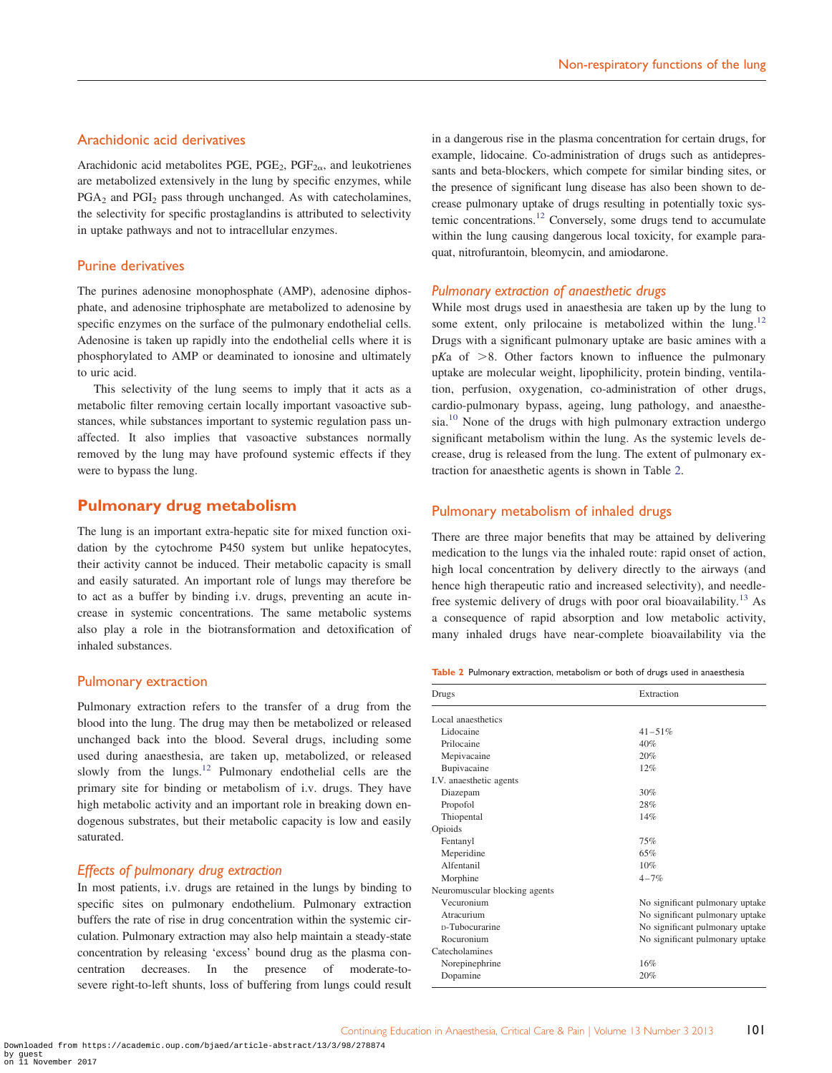## Arachidonic acid derivatives

Arachidonic acid metabolites PGE, PGE<sub>2</sub>, PGF<sub>2 $\alpha$ </sub>, and leukotrienes are metabolized extensively in the lung by specific enzymes, while  $PGA<sub>2</sub>$  and  $PGI<sub>2</sub>$  pass through unchanged. As with catecholamines, the selectivity for specific prostaglandins is attributed to selectivity in uptake pathways and not to intracellular enzymes.

## Purine derivatives

The purines adenosine monophosphate (AMP), adenosine diphosphate, and adenosine triphosphate are metabolized to adenosine by specific enzymes on the surface of the pulmonary endothelial cells. Adenosine is taken up rapidly into the endothelial cells where it is phosphorylated to AMP or deaminated to ionosine and ultimately to uric acid.

This selectivity of the lung seems to imply that it acts as a metabolic filter removing certain locally important vasoactive substances, while substances important to systemic regulation pass unaffected. It also implies that vasoactive substances normally removed by the lung may have profound systemic effects if they were to bypass the lung.

# Pulmonary drug metabolism

The lung is an important extra-hepatic site for mixed function oxidation by the cytochrome P450 system but unlike hepatocytes, their activity cannot be induced. Their metabolic capacity is small and easily saturated. An important role of lungs may therefore be to act as a buffer by binding i.v. drugs, preventing an acute increase in systemic concentrations. The same metabolic systems also play a role in the biotransformation and detoxification of inhaled substances.

## Pulmonary extraction

Pulmonary extraction refers to the transfer of a drug from the blood into the lung. The drug may then be metabolized or released unchanged back into the blood. Several drugs, including some used during anaesthesia, are taken up, metabolized, or released slowly from the lungs. $12$  Pulmonary endothelial cells are the primary site for binding or metabolism of i.v. drugs. They have high metabolic activity and an important role in breaking down endogenous substrates, but their metabolic capacity is low and easily saturated.

## Effects of pulmonary drug extraction

In most patients, i.v. drugs are retained in the lungs by binding to specific sites on pulmonary endothelium. Pulmonary extraction buffers the rate of rise in drug concentration within the systemic circulation. Pulmonary extraction may also help maintain a steady-state concentration by releasing 'excess' bound drug as the plasma concentration decreases. In the presence of moderate-tosevere right-to-left shunts, loss of buffering from lungs could result in a dangerous rise in the plasma concentration for certain drugs, for example, lidocaine. Co-administration of drugs such as antidepressants and beta-blockers, which compete for similar binding sites, or the presence of significant lung disease has also been shown to decrease pulmonary uptake of drugs resulting in potentially toxic systemic concentrations.[12](#page-4-0) Conversely, some drugs tend to accumulate within the lung causing dangerous local toxicity, for example paraquat, nitrofurantoin, bleomycin, and amiodarone.

## Pulmonary extraction of anaesthetic drugs

While most drugs used in anaesthesia are taken up by the lung to some extent, only prilocaine is metabolized within the lung.<sup>12</sup> Drugs with a significant pulmonary uptake are basic amines with a  $pKa$  of  $\geq 8$ . Other factors known to influence the pulmonary uptake are molecular weight, lipophilicity, protein binding, ventilation, perfusion, oxygenation, co-administration of other drugs, cardio-pulmonary bypass, ageing, lung pathology, and anaesthe-sia.<sup>[10](#page-4-0)</sup> None of the drugs with high pulmonary extraction undergo significant metabolism within the lung. As the systemic levels decrease, drug is released from the lung. The extent of pulmonary extraction for anaesthetic agents is shown in Table 2.

## Pulmonary metabolism of inhaled drugs

There are three major benefits that may be attained by delivering medication to the lungs via the inhaled route: rapid onset of action, high local concentration by delivery directly to the airways (and hence high therapeutic ratio and increased selectivity), and needle-free systemic delivery of drugs with poor oral bioavailability.<sup>[13](#page-4-0)</sup> As a consequence of rapid absorption and low metabolic activity, many inhaled drugs have near-complete bioavailability via the

|  | <b>Table 2</b> Pulmonary extraction, metabolism or both of drugs used in anaesthesia |  |  |
|--|--------------------------------------------------------------------------------------|--|--|
|  |                                                                                      |  |  |

| Drugs                         | Extraction                      |
|-------------------------------|---------------------------------|
| Local anaesthetics            |                                 |
| Lidocaine                     | $41 - 51\%$                     |
| Prilocaine                    | 40%                             |
| Mepivacaine                   | 20%                             |
| Bupivacaine                   | 12%                             |
| I.V. anaesthetic agents       |                                 |
| Diazepam                      | 30%                             |
| Propofol                      | 28%                             |
| Thiopental                    | 14%                             |
| Opioids                       |                                 |
| Fentanyl                      | 75%                             |
| Meperidine                    | 65%                             |
| Alfentanil                    | 10%                             |
| Morphine                      | $4 - 7%$                        |
| Neuromuscular blocking agents |                                 |
| Vecuronium                    | No significant pulmonary uptake |
| Atracurium                    | No significant pulmonary uptake |
| D-Tubocurarine                | No significant pulmonary uptake |
| Rocuronium                    | No significant pulmonary uptake |
| Catecholamines                |                                 |
| Norepinephrine                | 16%                             |
| Dopamine                      | 20%                             |